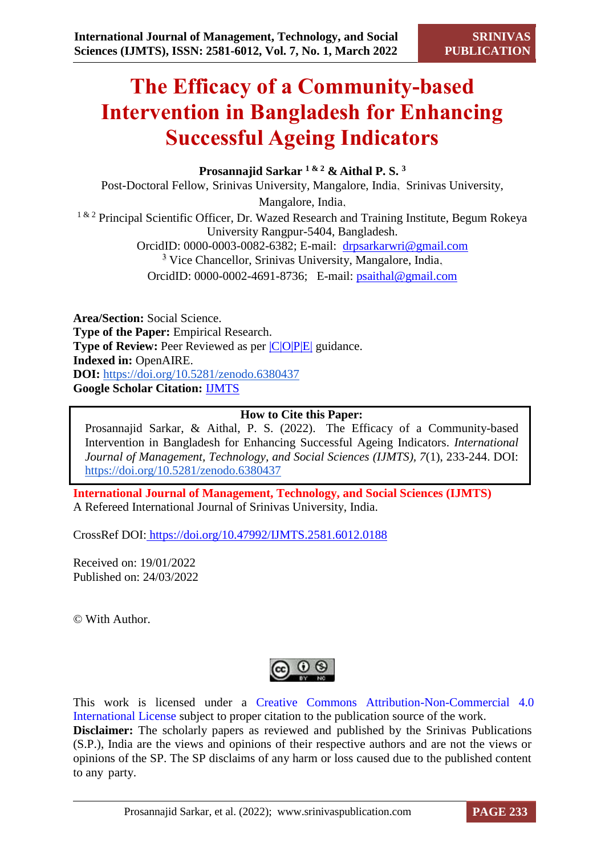# **The Efficacy of a Community-based Intervention in Bangladesh for Enhancing Successful Ageing Indicators**

**Prosannajid Sarkar 1 & 2 & Aithal P. S. <sup>3</sup>**

Post-Doctoral Fellow, Srinivas University, Mangalore, India. Srinivas University,

Mangalore, India.

<sup>1 & 2</sup> Principal Scientific Officer, Dr. Wazed Research and Training Institute, Begum Rokeya University Rangpur-5404, Bangladesh. OrcidID: 0000-0003-0082-6382; E-mail: [drpsarkarwri@gmail.com](mailto:drpsarkarwri@gmail.com) <sup>3</sup> Vice Chancellor, Srinivas University, Mangalore, India. OrcidID: 0000-0002-4691-8736; E-mail: [psaithal@gmail.com](mailto:psaithal@gmail.com)

**Area/Section:** Social Science. **Type of the Paper:** Empirical Research. **Type of Review:** Peer Reviewed as per  $|C|O||P|E|$  guidance. **Indexed in:** OpenAIRE. **DOI:** <https://doi.org/10.5281/zenodo.6380437> **Google Scholar Citation:** [IJMTS](https://scholar.google.com/citations?user=bphF0BQAAAAJ)

# **How to Cite this Paper:**

Prosannajid Sarkar, & Aithal, P. S. (2022). The Efficacy of a Community-based Intervention in Bangladesh for Enhancing Successful Ageing Indicators. *International Journal of Management, Technology, and Social Sciences (IJMTS), 7*(1), 233-244. DOI: <https://doi.org/10.5281/zenodo.6380437>

**International Journal of Management, Technology, and Social Sciences (IJMTS)** A Refereed International Journal of Srinivas University, India.

CrossRef DOI: [https://doi.org/10.47992/IJMTS.2581.6012.0188](https://search.crossref.org/?q=10.47992%2FIJMTS.2581.6012.0188&from_ui=yes)

Received on: 19/01/2022 Published on: 24/03/2022

© With Author.



This work is licensed under a Creative Commons Attribution-Non-Commercial 4.0 International License subject to proper citation to the publication source of the work. **Disclaimer:** The scholarly papers as reviewed and published by the Srinivas Publications (S.P.), India are the views and opinions of their respective authors and are not the views or opinions of the SP. The SP disclaims of any harm or loss caused due to the published content to any party.

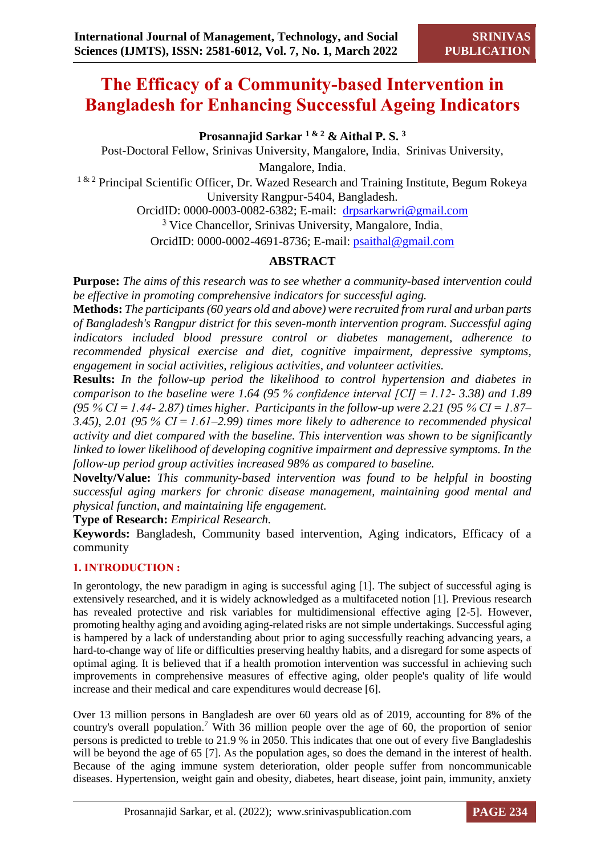# **The Efficacy of a Community-based Intervention in Bangladesh for Enhancing Successful Ageing Indicators**

**Prosannajid Sarkar 1 & 2 & Aithal P. S. <sup>3</sup>**

Post-Doctoral Fellow, Srinivas University, Mangalore, India. Srinivas University,

Mangalore, India.

 $1 \& 2$  Principal Scientific Officer, Dr. Wazed Research and Training Institute, Begum Rokeya University Rangpur-5404, Bangladesh.

OrcidID: 0000-0003-0082-6382; E-mail: [drpsarkarwri@gmail.com](mailto:drpsarkarwri@gmail.com) <sup>3</sup> Vice Chancellor, Srinivas University, Mangalore, India.

OrcidID: 0000-0002-4691-8736; E-mail: [psaithal@gmail.com](mailto:psaithal@gmail.com)

# **ABSTRACT**

**Purpose:** *The aims of this research was to see whether a community-based intervention could be effective in promoting comprehensive indicators for successful aging.* 

**Methods:** *The participants (60 years old and above) were recruited from rural and urban parts of Bangladesh's Rangpur district for this seven-month intervention program. Successful aging indicators included blood pressure control or diabetes management, adherence to recommended physical exercise and diet, cognitive impairment, depressive symptoms, engagement in social activities, religious activities, and volunteer activities.* 

**Results:** *In the follow-up period the likelihood to control hypertension and diabetes in comparison to the baseline were 1.64 (95 % confidence interval [CI] = 1.12- 3.38) and 1.89 (95 % CI = 1.44- 2.87) times higher. Participants in the follow-up were 2.21 (95 % CI = 1.87– 3.45), 2.01 (95 % CI = 1.61–2.99) times more likely to adherence to recommended physical activity and diet compared with the baseline. This intervention was shown to be significantly linked to lower likelihood of developing cognitive impairment and depressive symptoms. In the follow-up period group activities increased 98% as compared to baseline.* 

**Novelty/Value:** *This community-based intervention was found to be helpful in boosting successful aging markers for chronic disease management, maintaining good mental and physical function, and maintaining life engagement.*

**Type of Research:** *Empirical Research.*

**Keywords:** Bangladesh, Community based intervention, Aging indicators, Efficacy of a community

# **1. INTRODUCTION :**

In gerontology, the new paradigm in aging is successful aging [1]. The subject of successful aging is extensively researched, and it is widely acknowledged as a multifaceted notion [1]. Previous research has revealed protective and risk variables for multidimensional effective aging [2-5]. However, promoting healthy aging and avoiding aging-related risks are not simple undertakings. Successful aging is hampered by a lack of understanding about prior to aging successfully reaching advancing years, a hard-to-change way of life or difficulties preserving healthy habits, and a disregard for some aspects of optimal aging. It is believed that if a health promotion intervention was successful in achieving such improvements in comprehensive measures of effective aging, older people's quality of life would increase and their medical and care expenditures would decrease [6].

Over 13 million persons in Bangladesh are over 60 years old as of 2019, accounting for 8% of the country's overall population.*<sup>7</sup>* With 36 million people over the age of 60, the proportion of senior persons is predicted to treble to 21.9 % in 2050. This indicates that one out of every five Bangladeshis will be beyond the age of 65 [7]. As the population ages, so does the demand in the interest of health. Because of the aging immune system deterioration, older people suffer from noncommunicable diseases. Hypertension, weight gain and obesity, diabetes, heart disease, joint pain, immunity, anxiety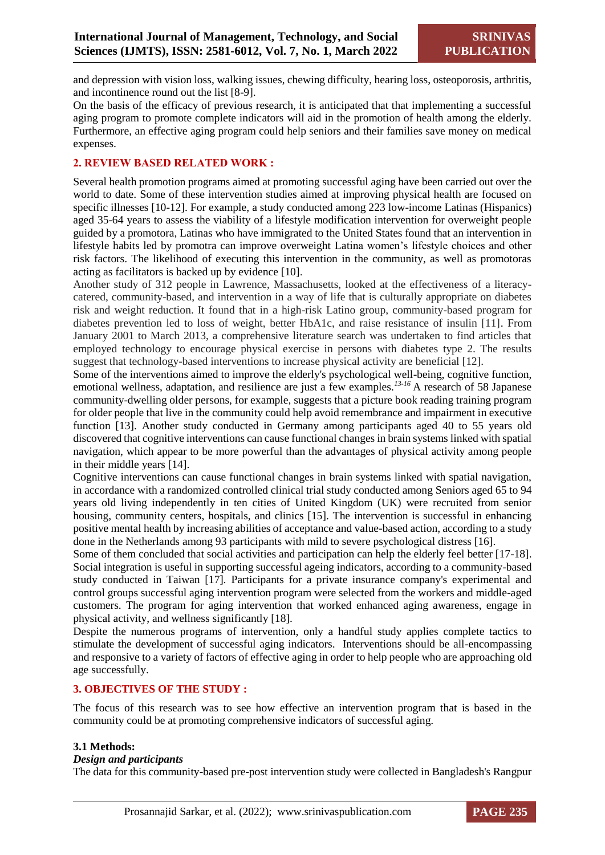and depression with vision loss, walking issues, chewing difficulty, hearing loss, osteoporosis, arthritis, and incontinence round out the list [8-9].

On the basis of the efficacy of previous research, it is anticipated that that implementing a successful aging program to promote complete indicators will aid in the promotion of health among the elderly. Furthermore, an effective aging program could help seniors and their families save money on medical expenses.

# **2. REVIEW BASED RELATED WORK :**

Several health promotion programs aimed at promoting successful aging have been carried out over the world to date. Some of these intervention studies aimed at improving physical health are focused on specific illnesses [10-12]. For example, a study conducted among 223 low-income Latinas (Hispanics) aged 35-64 years to assess the viability of a lifestyle modification intervention for overweight people guided by a promotora, Latinas who have immigrated to the United States found that an intervention in lifestyle habits led by promotra can improve overweight Latina women's lifestyle choices and other risk factors. The likelihood of executing this intervention in the community, as well as promotoras acting as facilitators is backed up by evidence [10].

Another study of 312 people in Lawrence, Massachusetts, looked at the effectiveness of a literacycatered, community-based, and intervention in a way of life that is culturally appropriate on diabetes risk and weight reduction. It found that in a high-risk Latino group, community-based program for diabetes prevention led to loss of weight, better HbA1c, and raise resistance of insulin [11]. From January 2001 to March 2013, a comprehensive literature search was undertaken to find articles that employed technology to encourage physical exercise in persons with diabetes type 2. The results suggest that technology-based interventions to increase physical activity are beneficial [12].

Some of the interventions aimed to improve the elderly's psychological well-being, cognitive function, emotional wellness, adaptation, and resilience are just a few examples.*13-16* A research of 58 Japanese community-dwelling older persons, for example, suggests that a picture book reading training program for older people that live in the community could help avoid remembrance and impairment in executive function [13]. Another study conducted in Germany among participants aged 40 to 55 years old discovered that cognitive interventions can cause functional changes in brain systems linked with spatial navigation, which appear to be more powerful than the advantages of physical activity among people in their middle years [14].

Cognitive interventions can cause functional changes in brain systems linked with spatial navigation, in accordance with a randomized controlled clinical trial study conducted among Seniors aged 65 to 94 years old living independently in ten cities of United Kingdom (UK) were recruited from senior housing, community centers, hospitals, and clinics [15]. The intervention is successful in enhancing positive mental health by increasing abilities of acceptance and value-based action, according to a study done in the Netherlands among 93 participants with mild to severe psychological distress [16].

Some of them concluded that social activities and participation can help the elderly feel better [17-18]. Social integration is useful in supporting successful ageing indicators, according to a community-based study conducted in Taiwan [17]*.* Participants for a private insurance company's experimental and control groups successful aging intervention program were selected from the workers and middle-aged customers. The program for aging intervention that worked enhanced aging awareness, engage in physical activity, and wellness significantly [18].

Despite the numerous programs of intervention, only a handful study applies complete tactics to stimulate the development of successful aging indicators. Interventions should be all-encompassing and responsive to a variety of factors of effective aging in order to help people who are approaching old age successfully.

#### **3. OBJECTIVES OF THE STUDY :**

The focus of this research was to see how effective an intervention program that is based in the community could be at promoting comprehensive indicators of successful aging.

#### **3.1 Methods:**

#### *Design and participants*

The data for this community-based pre-post intervention study were collected in Bangladesh's Rangpur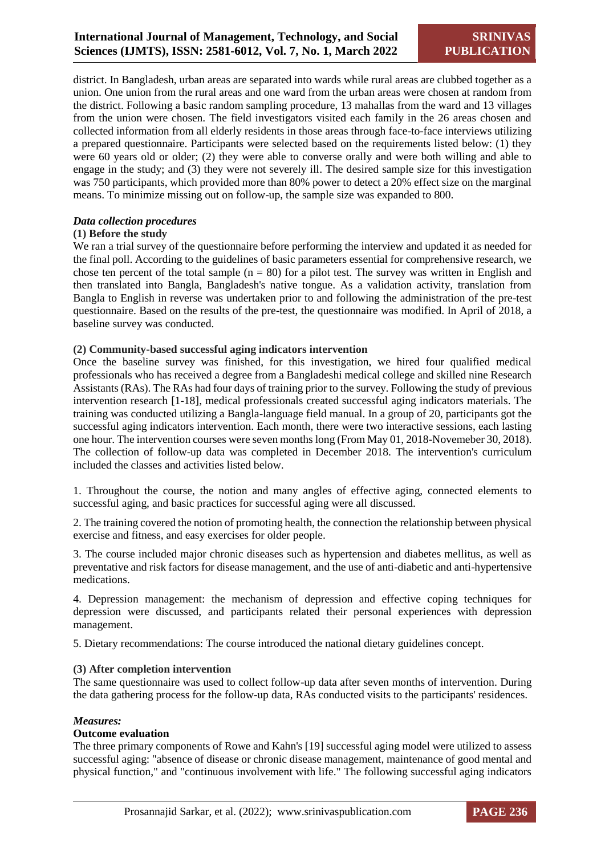district. In Bangladesh, urban areas are separated into wards while rural areas are clubbed together as a union. One union from the rural areas and one ward from the urban areas were chosen at random from the district. Following a basic random sampling procedure, 13 mahallas from the ward and 13 villages from the union were chosen. The field investigators visited each family in the 26 areas chosen and collected information from all elderly residents in those areas through face-to-face interviews utilizing a prepared questionnaire. Participants were selected based on the requirements listed below: (1) they were 60 years old or older; (2) they were able to converse orally and were both willing and able to engage in the study; and (3) they were not severely ill. The desired sample size for this investigation was 750 participants, which provided more than 80% power to detect a 20% effect size on the marginal means. To minimize missing out on follow-up, the sample size was expanded to 800.

# *Data collection procedures*

# **(1) Before the study**

We ran a trial survey of the questionnaire before performing the interview and updated it as needed for the final poll. According to the guidelines of basic parameters essential for comprehensive research, we chose ten percent of the total sample  $(n = 80)$  for a pilot test. The survey was written in English and then translated into Bangla, Bangladesh's native tongue. As a validation activity, translation from Bangla to English in reverse was undertaken prior to and following the administration of the pre-test questionnaire. Based on the results of the pre-test, the questionnaire was modified. In April of 2018, a baseline survey was conducted.

# **(2) Community-based successful aging indicators intervention**

Once the baseline survey was finished, for this investigation, we hired four qualified medical professionals who has received a degree from a Bangladeshi medical college and skilled nine Research Assistants (RAs). The RAs had four days of training prior to the survey. Following the study of previous intervention research [1-18], medical professionals created successful aging indicators materials. The training was conducted utilizing a Bangla-language field manual. In a group of 20, participants got the successful aging indicators intervention. Each month, there were two interactive sessions, each lasting one hour. The intervention courses were seven months long (From May 01, 2018-Novemeber 30, 2018). The collection of follow-up data was completed in December 2018. The intervention's curriculum included the classes and activities listed below.

1. Throughout the course, the notion and many angles of effective aging, connected elements to successful aging, and basic practices for successful aging were all discussed.

2. The training covered the notion of promoting health, the connection the relationship between physical exercise and fitness, and easy exercises for older people.

3. The course included major chronic diseases such as hypertension and diabetes mellitus, as well as preventative and risk factors for disease management, and the use of anti-diabetic and anti-hypertensive medications.

4. Depression management: the mechanism of depression and effective coping techniques for depression were discussed, and participants related their personal experiences with depression management.

5. Dietary recommendations: The course introduced the national dietary guidelines concept.

#### **(3) After completion intervention**

The same questionnaire was used to collect follow-up data after seven months of intervention. During the data gathering process for the follow-up data, RAs conducted visits to the participants' residences.

#### *Measures:*

#### **Outcome evaluation**

The three primary components of Rowe and Kahn's [19] successful aging model were utilized to assess successful aging: "absence of disease or chronic disease management, maintenance of good mental and physical function," and "continuous involvement with life." The following successful aging indicators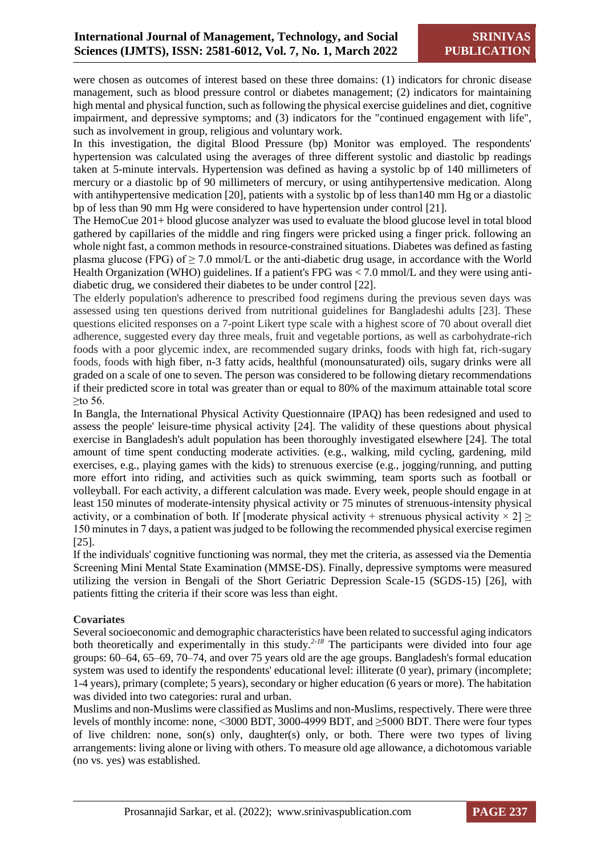were chosen as outcomes of interest based on these three domains: (1) indicators for chronic disease management, such as blood pressure control or diabetes management; (2) indicators for maintaining high mental and physical function, such as following the physical exercise guidelines and diet, cognitive impairment, and depressive symptoms; and (3) indicators for the "continued engagement with life", such as involvement in group, religious and voluntary work.

In this investigation, the digital Blood Pressure (bp) Monitor was employed. The respondents' hypertension was calculated using the averages of three different systolic and diastolic bp readings taken at 5-minute intervals. Hypertension was defined as having a systolic bp of 140 millimeters of mercury or a diastolic bp of 90 millimeters of mercury, or using antihypertensive medication. Along with antihypertensive medication [20], patients with a systolic bp of less than 140 mm Hg or a diastolic bp of less than 90 mm Hg were considered to have hypertension under control [21].

The HemoCue 201+ blood glucose analyzer was used to evaluate the blood glucose level in total blood gathered by capillaries of the middle and ring fingers were pricked using a finger prick. following an whole night fast, a common methods in resource-constrained situations. Diabetes was defined as fasting plasma glucose (FPG) of  $\geq$  7.0 mmol/L or the anti-diabetic drug usage, in accordance with the World Health Organization (WHO) guidelines. If a patient's FPG was < 7.0 mmol/L and they were using antidiabetic drug, we considered their diabetes to be under control [22].

The elderly population's adherence to prescribed food regimens during the previous seven days was assessed using ten questions derived from nutritional guidelines for Bangladeshi adults [23]. These questions elicited responses on a 7-point Likert type scale with a highest score of 70 about overall diet adherence, suggested every day three meals, fruit and vegetable portions, as well as carbohydrate-rich foods with a poor glycemic index, are recommended sugary drinks, foods with high fat, rich-sugary foods, foods with high fiber, n-3 fatty acids, healthful (monounsaturated) oils, sugary drinks were all graded on a scale of one to seven. The person was considered to be following dietary recommendations if their predicted score in total was greater than or equal to 80% of the maximum attainable total score ≥to 56.

In Bangla, the International Physical Activity Questionnaire (IPAQ) has been redesigned and used to assess the people' leisure-time physical activity [24]. The validity of these questions about physical exercise in Bangladesh's adult population has been thoroughly investigated elsewhere [24]*.* The total amount of time spent conducting moderate activities. (e.g., walking, mild cycling, gardening, mild exercises, e.g., playing games with the kids) to strenuous exercise (e.g., jogging/running, and putting more effort into riding, and activities such as quick swimming, team sports such as football or volleyball. For each activity, a different calculation was made. Every week, people should engage in at least 150 minutes of moderate-intensity physical activity or 75 minutes of strenuous-intensity physical activity, or a combination of both. If [moderate physical activity + strenuous physical activity  $\times$  2]  $\ge$ 150 minutes in 7 days, a patient was judged to be following the recommended physical exercise regimen [25].

If the individuals' cognitive functioning was normal, they met the criteria, as assessed via the Dementia Screening Mini Mental State Examination (MMSE-DS). Finally, depressive symptoms were measured utilizing the version in Bengali of the Short Geriatric Depression Scale-15 (SGDS-15) [26], with patients fitting the criteria if their score was less than eight.

# **Covariates**

Several socioeconomic and demographic characteristics have been related to successful aging indicators both theoretically and experimentally in this study.<sup>2-18</sup> The participants were divided into four age groups: 60–64, 65–69, 70–74, and over 75 years old are the age groups. Bangladesh's formal education system was used to identify the respondents' educational level: illiterate (0 year), primary (incomplete; 1-4 years), primary (complete; 5 years), secondary or higher education (6 years or more). The habitation was divided into two categories: rural and urban.

Muslims and non-Muslims were classified as Muslims and non-Muslims, respectively. There were three levels of monthly income: none, <3000 BDT, 3000-4999 BDT, and ≥5000 BDT. There were four types of live children: none, son(s) only, daughter(s) only, or both. There were two types of living arrangements: living alone or living with others. To measure old age allowance, a dichotomous variable (no vs. yes) was established.

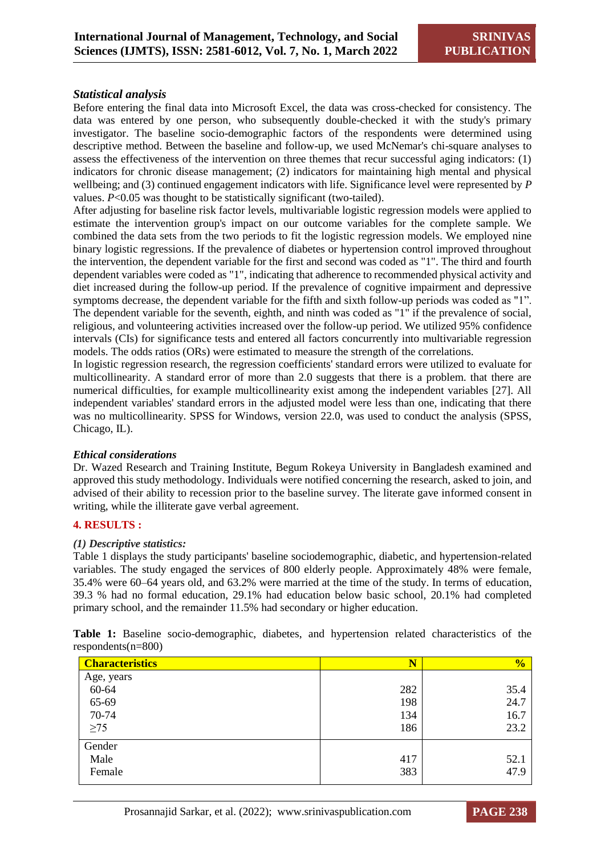# *Statistical analysis*

Before entering the final data into Microsoft Excel, the data was cross-checked for consistency. The data was entered by one person, who subsequently double-checked it with the study's primary investigator. The baseline socio-demographic factors of the respondents were determined using descriptive method. Between the baseline and follow-up, we used McNemar's chi-square analyses to assess the effectiveness of the intervention on three themes that recur successful aging indicators: (1) indicators for chronic disease management; (2) indicators for maintaining high mental and physical wellbeing; and (3) continued engagement indicators with life. Significance level were represented by *P* values. *P*<0.05 was thought to be statistically significant (two-tailed).

After adjusting for baseline risk factor levels, multivariable logistic regression models were applied to estimate the intervention group's impact on our outcome variables for the complete sample. We combined the data sets from the two periods to fit the logistic regression models. We employed nine binary logistic regressions. If the prevalence of diabetes or hypertension control improved throughout the intervention, the dependent variable for the first and second was coded as "1". The third and fourth dependent variables were coded as "1", indicating that adherence to recommended physical activity and diet increased during the follow-up period. If the prevalence of cognitive impairment and depressive symptoms decrease, the dependent variable for the fifth and sixth follow-up periods was coded as "1". The dependent variable for the seventh, eighth, and ninth was coded as "1" if the prevalence of social, religious, and volunteering activities increased over the follow-up period. We utilized 95% confidence intervals (CIs) for significance tests and entered all factors concurrently into multivariable regression models. The odds ratios (ORs) were estimated to measure the strength of the correlations.

In logistic regression research, the regression coefficients' standard errors were utilized to evaluate for multicollinearity. A standard error of more than 2.0 suggests that there is a problem. that there are numerical difficulties, for example multicollinearity exist among the independent variables [27]. All independent variables' standard errors in the adjusted model were less than one, indicating that there was no multicollinearity. SPSS for Windows, version 22.0, was used to conduct the analysis (SPSS, Chicago, IL).

#### *Ethical considerations*

Dr. Wazed Research and Training Institute, Begum Rokeya University in Bangladesh examined and approved this study methodology. Individuals were notified concerning the research, asked to join, and advised of their ability to recession prior to the baseline survey. The literate gave informed consent in writing, while the illiterate gave verbal agreement.

#### **4. RESULTS :**

#### *(1) Descriptive statistics:*

Table 1 displays the study participants' baseline sociodemographic, diabetic, and hypertension-related variables. The study engaged the services of 800 elderly people. Approximately 48% were female, 35.4% were 60–64 years old, and 63.2% were married at the time of the study. In terms of education, 39.3 % had no formal education, 29.1% had education below basic school, 20.1% had completed primary school, and the remainder 11.5% had secondary or higher education.

|  | $respondents(n=800)$      | Table 1: Baseline socio-demographic, diabetes, and hypertension related characteristics of the |  |  |  |  |
|--|---------------------------|------------------------------------------------------------------------------------------------|--|--|--|--|
|  | <u>  Charactoristics </u> |                                                                                                |  |  |  |  |

| <b>Characteristics</b> | $\overline{\mathbf{N}}$ | $\frac{0}{2}$ |
|------------------------|-------------------------|---------------|
| Age, years             |                         |               |
| 60-64                  | 282                     | 35.4          |
| 65-69                  | 198                     | 24.7          |
| 70-74                  | 134                     | 16.7          |
| $\geq$ 75              | 186                     | 23.2          |
| Gender                 |                         |               |
| Male                   | 417                     | 52.1          |
| Female                 | 383                     | 47.9          |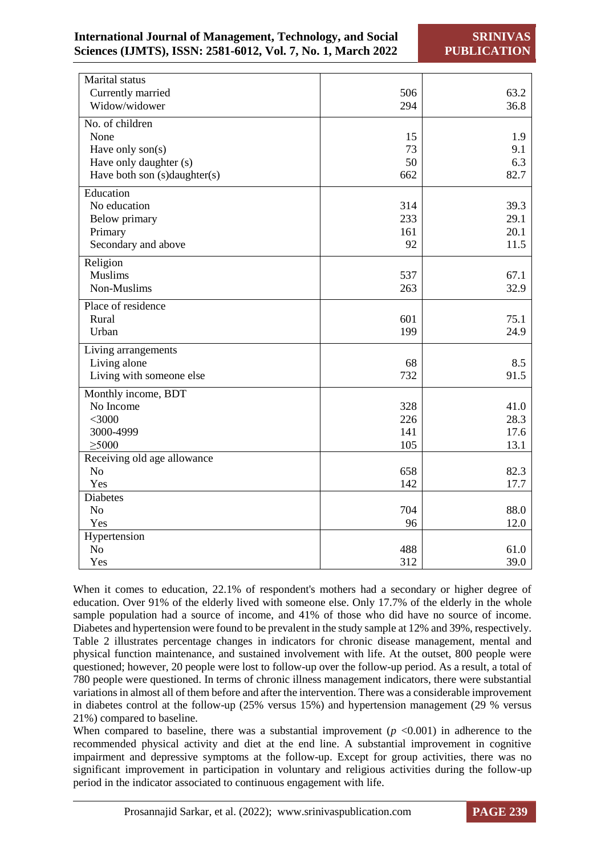# **International Journal of Management, Technology, and Social Sciences (IJMTS), ISSN: 2581-6012, Vol. 7, No. 1, March 2022**

**SRINIVAS PUBLICATION**

| Marital status                       |     |      |
|--------------------------------------|-----|------|
| Currently married                    | 506 | 63.2 |
| Widow/widower                        | 294 | 36.8 |
| $\overline{\text{No}}$ . of children |     |      |
| None                                 | 15  | 1.9  |
| Have only son(s)                     | 73  | 9.1  |
| Have only daughter (s)               | 50  | 6.3  |
| Have both son (s)daughter(s)         | 662 | 82.7 |
| Education                            |     |      |
| No education                         | 314 | 39.3 |
| <b>Below primary</b>                 | 233 | 29.1 |
| Primary                              | 161 | 20.1 |
| Secondary and above                  | 92  | 11.5 |
| Religion                             |     |      |
| <b>Muslims</b>                       | 537 | 67.1 |
| Non-Muslims                          | 263 | 32.9 |
| Place of residence                   |     |      |
| Rural                                | 601 | 75.1 |
| Urban                                | 199 | 24.9 |
| Living arrangements                  |     |      |
| Living alone                         | 68  | 8.5  |
| Living with someone else             | 732 | 91.5 |
| Monthly income, BDT                  |     |      |
| No Income                            | 328 | 41.0 |
| $<$ 3000                             | 226 | 28.3 |
| 3000-4999                            | 141 | 17.6 |
| $\geq 5000$                          | 105 | 13.1 |
| Receiving old age allowance          |     |      |
| N <sub>o</sub>                       | 658 | 82.3 |
| Yes                                  | 142 | 17.7 |
| <b>Diabetes</b>                      |     |      |
| N <sub>o</sub>                       | 704 | 88.0 |
| Yes                                  | 96  | 12.0 |
| Hypertension                         |     |      |
| N <sub>o</sub>                       | 488 | 61.0 |
| Yes                                  | 312 | 39.0 |

When it comes to education, 22.1% of respondent's mothers had a secondary or higher degree of education. Over 91% of the elderly lived with someone else. Only 17.7% of the elderly in the whole sample population had a source of income, and 41% of those who did have no source of income. Diabetes and hypertension were found to be prevalent in the study sample at 12% and 39%, respectively. Table 2 illustrates percentage changes in indicators for chronic disease management, mental and physical function maintenance, and sustained involvement with life. At the outset, 800 people were questioned; however, 20 people were lost to follow-up over the follow-up period. As a result, a total of 780 people were questioned. In terms of chronic illness management indicators, there were substantial variations in almost all of them before and after the intervention. There was a considerable improvement in diabetes control at the follow-up (25% versus 15%) and hypertension management (29 % versus 21%) compared to baseline.

When compared to baseline, there was a substantial improvement  $(p \le 0.001)$  in adherence to the recommended physical activity and diet at the end line. A substantial improvement in cognitive impairment and depressive symptoms at the follow-up. Except for group activities, there was no significant improvement in participation in voluntary and religious activities during the follow-up period in the indicator associated to continuous engagement with life.

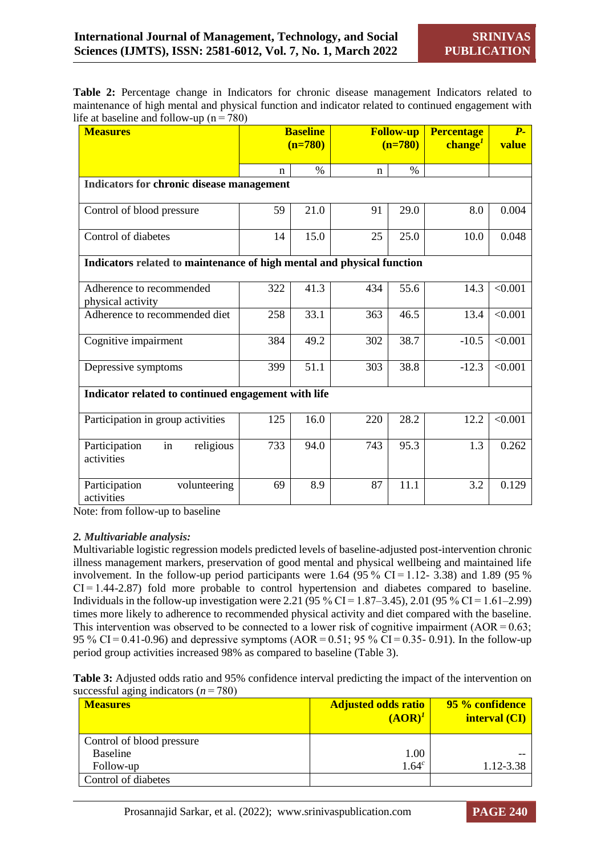**Table 2:** Percentage change in Indicators for chronic disease management Indicators related to maintenance of high mental and physical function and indicator related to continued engagement with life at baseline and follow-up ( $n = 780$ )

| <b>Measures</b>                                                        | <b>Baseline</b><br>$(n=780)$ |      | <b>Follow-up</b><br>$(n=780)$ |      | <b>Percentage</b><br>$changeI$ | $P-$<br>value |
|------------------------------------------------------------------------|------------------------------|------|-------------------------------|------|--------------------------------|---------------|
|                                                                        | n                            | $\%$ | $\mathbf n$                   | $\%$ |                                |               |
| Indicators for chronic disease management                              |                              |      |                               |      |                                |               |
| Control of blood pressure                                              | 59                           | 21.0 | 91                            | 29.0 | 8.0                            | 0.004         |
| Control of diabetes                                                    | 14                           | 15.0 | 25                            | 25.0 | 10.0                           | 0.048         |
| Indicators related to maintenance of high mental and physical function |                              |      |                               |      |                                |               |
| Adherence to recommended<br>physical activity                          | 322                          | 41.3 | 434                           | 55.6 | 14.3                           | < 0.001       |
| Adherence to recommended diet                                          | 258                          | 33.1 | 363                           | 46.5 | 13.4                           | < 0.001       |
| Cognitive impairment                                                   | 384                          | 49.2 | 302                           | 38.7 | $-10.5$                        | < 0.001       |
| Depressive symptoms                                                    | 399                          | 51.1 | 303                           | 38.8 | $-12.3$                        | < 0.001       |
| Indicator related to continued engagement with life                    |                              |      |                               |      |                                |               |
| Participation in group activities                                      | 125                          | 16.0 | 220                           | 28.2 | 12.2                           | < 0.001       |
| Participation<br>in<br>religious<br>activities                         | 733                          | 94.0 | 743                           | 95.3 | 1.3                            | 0.262         |
| Participation<br>volunteering<br>activities                            | 69                           | 8.9  | 87                            | 11.1 | 3.2                            | 0.129         |

Note: from follow-up to baseline

#### *2. Multivariable analysis:*

Multivariable logistic regression models predicted levels of baseline-adjusted post-intervention chronic illness management markers, preservation of good mental and physical wellbeing and maintained life involvement. In the follow-up period participants were 1.64 (95 % CI $=$  1.12- 3.38) and 1.89 (95 % CI = 1.44-2.87) fold more probable to control hypertension and diabetes compared to baseline. Individuals in the follow-up investigation were 2.21 (95 % CI = 1.87–3.45), 2.01 (95 % CI = 1.61–2.99) times more likely to adherence to recommended physical activity and diet compared with the baseline. This intervention was observed to be connected to a lower risk of cognitive impairment  $(AOR = 0.63;$ 95 % CI = 0.41-0.96) and depressive symptoms (AOR = 0.51; 95 % CI = 0.35- 0.91). In the follow-up period group activities increased 98% as compared to baseline (Table 3).

|                                           | Table 3: Adjusted odds ratio and 95% confidence interval predicting the impact of the intervention on |  |
|-------------------------------------------|-------------------------------------------------------------------------------------------------------|--|
| successful aging indicators ( $n = 780$ ) |                                                                                                       |  |

| <b>Measures</b>           | <b>Adjusted odds ratio</b><br>$(AOR)^{1}$ | <b>95 % confidence</b><br>interval (CI) |
|---------------------------|-------------------------------------------|-----------------------------------------|
| Control of blood pressure |                                           |                                         |
| <b>Baseline</b>           | 1.00                                      |                                         |
| Follow-up                 | 1.64 <sup>c</sup>                         | 1.12-3.38                               |
| Control of diabetes       |                                           |                                         |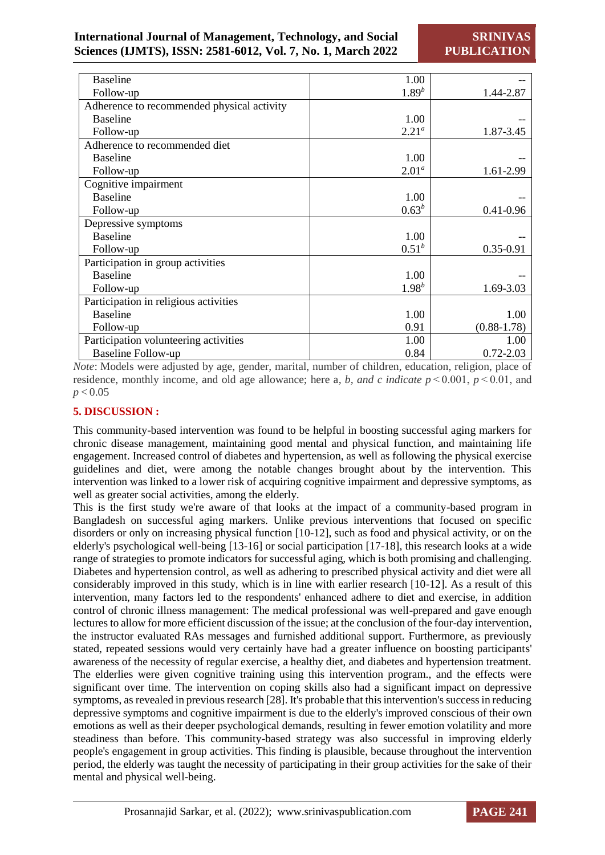**SRINIVAS PUBLICATION**

| <b>Baseline</b>                            | 1.00       |                 |
|--------------------------------------------|------------|-----------------|
| Follow-up                                  | $1.89^{b}$ | 1.44-2.87       |
| Adherence to recommended physical activity |            |                 |
| <b>Baseline</b>                            | 1.00       |                 |
| Follow-up                                  | $2.21^a$   | 1.87-3.45       |
| Adherence to recommended diet              |            |                 |
| <b>Baseline</b>                            | 1.00       |                 |
| Follow-up                                  | $2.01^a$   | 1.61-2.99       |
| Cognitive impairment                       |            |                 |
| <b>Baseline</b>                            | 1.00       |                 |
| Follow-up                                  | $0.63^{b}$ | $0.41 - 0.96$   |
| Depressive symptoms                        |            |                 |
| <b>Baseline</b>                            | 1.00       |                 |
| Follow-up                                  | $0.51^{b}$ | $0.35 - 0.91$   |
| Participation in group activities          |            |                 |
| <b>Baseline</b>                            | 1.00       |                 |
| Follow-up                                  | $1.98^{b}$ | 1.69-3.03       |
| Participation in religious activities      |            |                 |
| <b>Baseline</b>                            | 1.00       | 1.00            |
| Follow-up                                  | 0.91       | $(0.88 - 1.78)$ |
| Participation volunteering activities      | 1.00       | 1.00            |
| <b>Baseline Follow-up</b>                  | 0.84       | $0.72 - 2.03$   |

*Note*: Models were adjusted by age, gender, marital, number of children, education, religion, place of residence, monthly income, and old age allowance; here a, b, and c indicate  $p \le 0.001$ ,  $p \le 0.01$ , and *p* < 0.05

# **5. DISCUSSION :**

This community-based intervention was found to be helpful in boosting successful aging markers for chronic disease management, maintaining good mental and physical function, and maintaining life engagement. Increased control of diabetes and hypertension, as well as following the physical exercise guidelines and diet, were among the notable changes brought about by the intervention. This intervention was linked to a lower risk of acquiring cognitive impairment and depressive symptoms, as well as greater social activities, among the elderly.

This is the first study we're aware of that looks at the impact of a community-based program in Bangladesh on successful aging markers. Unlike previous interventions that focused on specific disorders or only on increasing physical function [10-12], such as food and physical activity, or on the elderly's psychological well-being [13-16] or social participation [17-18], this research looks at a wide range of strategies to promote indicators for successful aging, which is both promising and challenging. Diabetes and hypertension control, as well as adhering to prescribed physical activity and diet were all considerably improved in this study, which is in line with earlier research [10-12]. As a result of this intervention, many factors led to the respondents' enhanced adhere to diet and exercise, in addition control of chronic illness management: The medical professional was well-prepared and gave enough lectures to allow for more efficient discussion of the issue; at the conclusion of the four-day intervention, the instructor evaluated RAs messages and furnished additional support. Furthermore, as previously stated, repeated sessions would very certainly have had a greater influence on boosting participants' awareness of the necessity of regular exercise, a healthy diet, and diabetes and hypertension treatment. The elderlies were given cognitive training using this intervention program., and the effects were significant over time. The intervention on coping skills also had a significant impact on depressive symptoms, as revealed in previous research [28]. It's probable that this intervention's success in reducing depressive symptoms and cognitive impairment is due to the elderly's improved conscious of their own emotions as well as their deeper psychological demands, resulting in fewer emotion volatility and more steadiness than before. This community-based strategy was also successful in improving elderly people's engagement in group activities. This finding is plausible, because throughout the intervention period, the elderly was taught the necessity of participating in their group activities for the sake of their mental and physical well-being.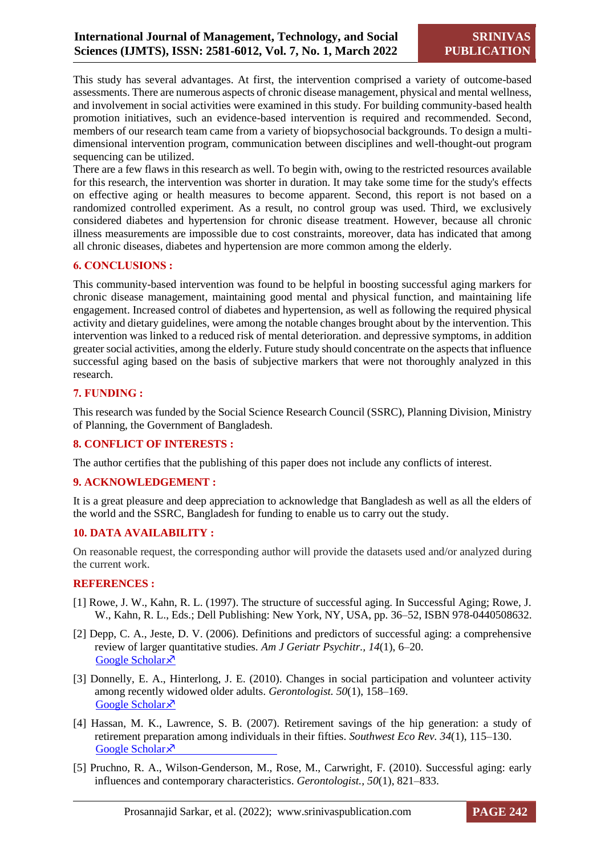This study has several advantages. At first, the intervention comprised a variety of outcome-based assessments. There are numerous aspects of chronic disease management, physical and mental wellness, and involvement in social activities were examined in this study. For building community-based health promotion initiatives, such an evidence-based intervention is required and recommended. Second, members of our research team came from a variety of biopsychosocial backgrounds. To design a multidimensional intervention program, communication between disciplines and well-thought-out program sequencing can be utilized.

There are a few flaws in this research as well. To begin with, owing to the restricted resources available for this research, the intervention was shorter in duration. It may take some time for the study's effects on effective aging or health measures to become apparent. Second, this report is not based on a randomized controlled experiment. As a result, no control group was used. Third, we exclusively considered diabetes and hypertension for chronic disease treatment. However, because all chronic illness measurements are impossible due to cost constraints, moreover, data has indicated that among all chronic diseases, diabetes and hypertension are more common among the elderly.

# **6. CONCLUSIONS :**

This community-based intervention was found to be helpful in boosting successful aging markers for chronic disease management, maintaining good mental and physical function, and maintaining life engagement. Increased control of diabetes and hypertension, as well as following the required physical activity and dietary guidelines, were among the notable changes brought about by the intervention. This intervention was linked to a reduced risk of mental deterioration. and depressive symptoms, in addition greater social activities, among the elderly. Future study should concentrate on the aspects that influence successful aging based on the basis of subjective markers that were not thoroughly analyzed in this research.

# **7. FUNDING :**

This research was funded by the Social Science Research Council (SSRC), Planning Division, Ministry of Planning, the Government of Bangladesh.

# **8. CONFLICT OF INTERESTS :**

The author certifies that the publishing of this paper does not include any conflicts of interest.

# **9. ACKNOWLEDGEMENT :**

It is a great pleasure and deep appreciation to acknowledge that Bangladesh as well as all the elders of the world and the SSRC, Bangladesh for funding to enable us to carry out the study.

# **10. DATA AVAILABILITY :**

On reasonable request, the corresponding author will provide the datasets used and/or analyzed during the current work.

# **REFERENCES :**

- [1] Rowe, J. W., Kahn, R. L. (1997). The structure of successful aging. In Successful Aging; Rowe, J. W., Kahn, R. L., Eds.; Dell Publishing: New York, NY, USA, pp. 36–52, ISBN 978-0440508632.
- [2] Depp, C. A., Jeste, D. V. (2006). Definitions and predictors of successful aging: a comprehensive review of larger quantitative studies. *Am J Geriatr Psychitr., 14*(1), 6–20. [Google Scholar](https://www.sciencedirect.com/science/article/pii/S1064748112615875) ×
- [3] Donnelly, E. A., Hinterlong, J. E. (2010). Changes in social participation and volunteer activity among recently widowed older adults. *Gerontologist. 50*(1), 158–169. [Google Scholar](https://academic.oup.com/gerontologist/article-abstract/50/2/158/716790) ×
- [4] Hassan, M. K., Lawrence, S. B. (2007). Retirement savings of the hip generation: a study of retirement preparation among individuals in their fifties. *Southwest Eco Rev. 34*(1), 115–130. [Google Scholar](https://papers.ssrn.com/sol3/papers.cfm?abstract_id=3263388) ×
- [5] Pruchno, R. A., Wilson-Genderson, M., Rose, M., Carwright, F. (2010). Successful aging: early influences and contemporary characteristics. *Gerontologist., 50*(1), 821–833.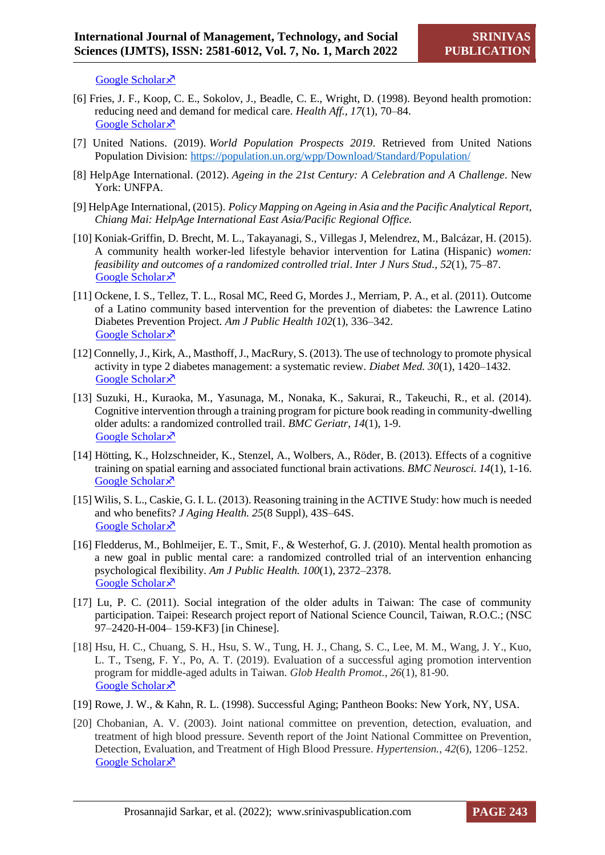[Google Scholar](https://academic.oup.com/gerontologist/article-abstract/50/6/821/628658)  $\lambda$ 

- [6] Fries, J. F., Koop, C. E., Sokolov, J., Beadle, C. E., Wright, D. (1998). Beyond health promotion: reducing need and demand for medical care. *Health Aff., 17*(1), 70–84. [Google Scholar](https://www.healthaffairs.org/doi/abs/10.1377/hlthaff.17.2.70) ×
- [7] United Nations. (2019). *World Population Prospects 2019*. Retrieved from United Nations Population Division:<https://population.un.org/wpp/Download/Standard/Population/>
- [8] HelpAge International. (2012). *Ageing in the 21st Century: A Celebration and A Challenge*. New York: UNFPA.
- [9] HelpAge International, (2015). *Policy Mapping on Ageing in Asia and the Pacific Analytical Report, Chiang Mai: HelpAge International East Asia/Pacific Regional Office.*
- [10] Koniak-Griffin, D. Brecht, M. L., Takayanagi, S., Villegas J, Melendrez, M., Balcázar, H. (2015). A community health worker-led lifestyle behavior intervention for Latina (Hispanic) *women: feasibility and outcomes of a randomized controlled trial*. *Inter J Nurs Stud., 52*(1), 75–87. [Google Scholar](https://www.sciencedirect.com/science/article/pii/S0020748914002533) ×
- [11] Ockene, I. S., Tellez, T. L., Rosal MC, Reed G, Mordes J., Merriam, P. A., et al. (2011). Outcome of a Latino community based intervention for the prevention of diabetes: the Lawrence Latino Diabetes Prevention Project. *Am J Public Health 102*(1), 336–342. [Google Scholar](https://ajph.aphapublications.org/doi/abs/10.2105/AJPH.2011.300357) ×
- [12] Connelly, J., Kirk, A., Masthoff, J., MacRury, S. (2013). The use of technology to promote physical activity in type 2 diabetes management: a systematic review. *Diabet Med. 30*(1), 1420–1432. [Google Scholar](https://onlinelibrary.wiley.com/doi/abs/10.1111/dme.12289) ×
- [13] Suzuki, H., Kuraoka, M., Yasunaga, M., Nonaka, K., Sakurai, R., Takeuchi, R., et al. (2014). Cognitive intervention through a training program for picture book reading in community-dwelling older adults: a randomized controlled trail. *BMC Geriatr, 14*(1), 1-9. [Google Scholar](https://bmcgeriatr.biomedcentral.com/articles/10.1186/1471-2318-14-122) ×
- [14] Hötting, K., Holzschneider, K., Stenzel, A., Wolbers, A., Röder, B. (2013). Effects of a cognitive training on spatial earning and associated functional brain activations. *BMC Neurosci. 14*(1), 1-16. [Google Scholar](https://link.springer.com/article/10.1186/1471-2202-14-73)<sup> $\lambda$ </sup>
- [15] Wilis, S. L., Caskie, G. I. L. (2013). Reasoning training in the ACTIVE Study: how much is needed and who benefits? *J Aging Health. 25*(8 Suppl), 43S–64S. [Google Scholar](https://journals.sagepub.com/doi/abs/10.1177/0898264313503987) ×
- [16] Fledderus, M., Bohlmeijer, E. T., Smit, F., & Westerhof, G. J. (2010). Mental health promotion as a new goal in public mental care: a randomized controlled trial of an intervention enhancing psychological flexibility. *Am J Public Health. 100*(1), 2372–2378. [Google Scholar](https://ajph.aphapublications.org/doi/abs/10.2105/AJPH.2010.196196) ×
- [17] Lu, P. C. (2011). Social integration of the older adults in Taiwan: The case of community participation. Taipei: Research project report of National Science Council, Taiwan, R.O.C.; (NSC 97–2420-H-004– 159-KF3) [in Chinese].
- [18] Hsu, H. C., Chuang, S. H., Hsu, S. W., Tung, H. J., Chang, S. C., Lee, M. M., Wang, J. Y., Kuo, L. T., Tseng, F. Y., Po, A. T. (2019). Evaluation of a successful aging promotion intervention program for middle-aged adults in Taiwan. *Glob Health Promot., 26*(1), 81-90. [Google Scholar](https://journals.sagepub.com/doi/abs/10.1177/1757975917702087)<sup> $\lambda$ </sup>
- [19] Rowe, J. W., & Kahn, R. L. (1998). Successful Aging; Pantheon Books: New York, NY, USA.
- [20] Chobanian, A. V. (2003). Joint national committee on prevention, detection, evaluation, and treatment of high blood pressure. Seventh report of the Joint National Committee on Prevention, Detection, Evaluation, and Treatment of High Blood Pressure. *Hypertension., 42*(6), 1206–1252. [Google Scholar](https://scholar.google.com/scholar?hl=en&as_sdt=0,5&q=Chobanian,+A.+V.+(2003).+Joint+national+committee+on+prevention,+detection,+evaluation,+and+treatment+of+high+blood+pressure.+Seventh+report+of+the+Joint+National+Committee+on+Prevention,+Detection,+Evaluation,+and+Treatment+of+High+Blood+Pressure.+Hypertension) ×